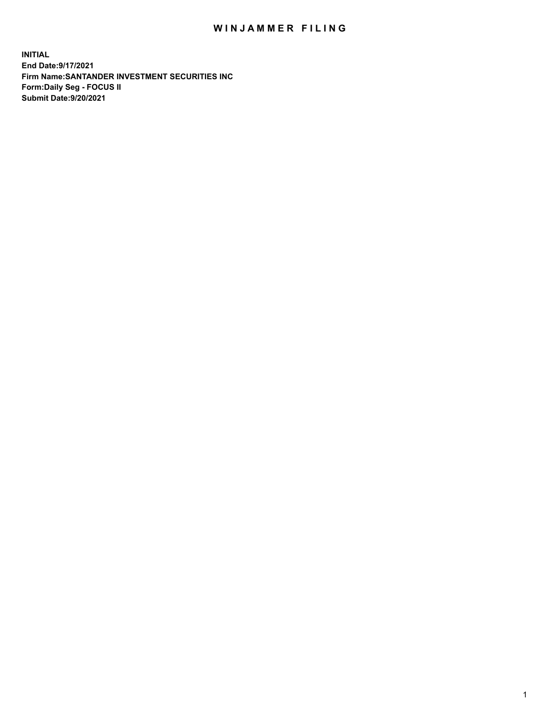## WIN JAMMER FILING

**INITIAL End Date:9/17/2021 Firm Name:SANTANDER INVESTMENT SECURITIES INC Form:Daily Seg - FOCUS II Submit Date:9/20/2021**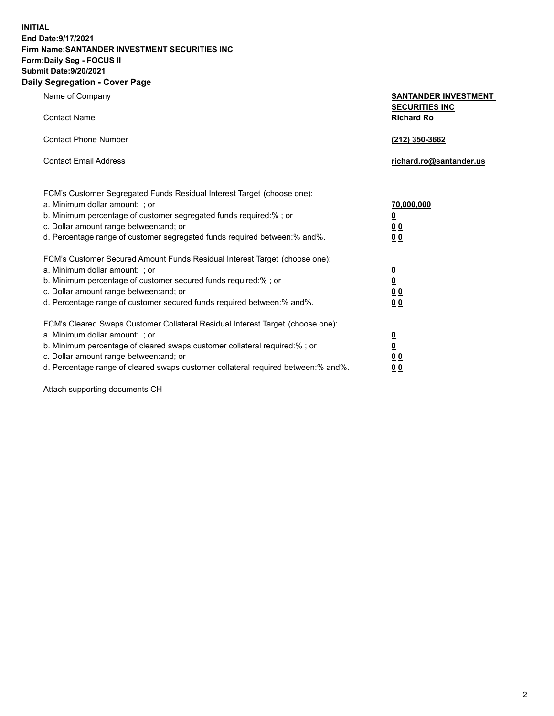**INITIAL End Date:9/17/2021 Firm Name:SANTANDER INVESTMENT SECURITIES INC Form:Daily Seg - FOCUS II Submit Date:9/20/2021 Daily Segregation - Cover Page**

| Name of Company                                                                | <b>SANTANDER INVESTMENT</b> |
|--------------------------------------------------------------------------------|-----------------------------|
|                                                                                | <b>SECURITIES INC</b>       |
| <b>Contact Name</b>                                                            | <b>Richard Ro</b>           |
| <b>Contact Phone Number</b>                                                    | (212) 350-3662              |
|                                                                                |                             |
| <b>Contact Email Address</b>                                                   | richard.ro@santander.us     |
|                                                                                |                             |
| FCM's Customer Segregated Funds Residual Interest Target (choose one):         |                             |
| a. Minimum dollar amount: ; or                                                 | 70,000,000                  |
| b. Minimum percentage of customer segregated funds required:% ; or             | $\overline{\mathbf{0}}$     |
| c. Dollar amount range between: and; or                                        | 0 <sub>0</sub>              |
| d. Percentage range of customer segregated funds required between: % and %.    | 0 <sub>0</sub>              |
| FCM's Customer Secured Amount Funds Residual Interest Target (choose one):     |                             |
| a. Minimum dollar amount: ; or                                                 |                             |
| b. Minimum percentage of customer secured funds required:%; or                 | $\frac{0}{0}$               |
| c. Dollar amount range between: and; or                                        | 0 <sub>0</sub>              |
| d. Percentage range of customer secured funds required between: % and %.       | 0 <sub>0</sub>              |
| FCM's Cleared Swaps Customer Collateral Residual Interest Target (choose one): |                             |
| a. Minimum dollar amount: ; or                                                 |                             |
| b. Minimum percentage of cleared swaps customer collateral required:%; or      | $\frac{0}{0}$               |
| c. Dollar amount range between: and; or                                        | 0 <sub>0</sub>              |

d. Percentage range of cleared swaps customer collateral required between:% and%. **0 0**

Attach supporting documents CH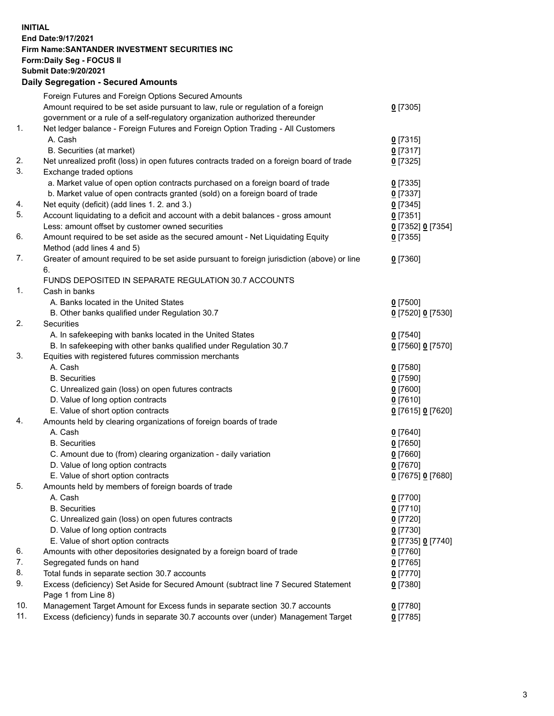**INITIAL End Date:9/17/2021 Firm Name:SANTANDER INVESTMENT SECURITIES INC Form:Daily Seg - FOCUS II Submit Date:9/20/2021 Daily Segregation - Secured Amounts**

|     | Foreign Futures and Foreign Options Secured Amounts                                         |                   |
|-----|---------------------------------------------------------------------------------------------|-------------------|
|     | Amount required to be set aside pursuant to law, rule or regulation of a foreign            | $0$ [7305]        |
|     | government or a rule of a self-regulatory organization authorized thereunder                |                   |
| 1.  | Net ledger balance - Foreign Futures and Foreign Option Trading - All Customers             |                   |
|     | A. Cash                                                                                     | $0$ [7315]        |
|     | B. Securities (at market)                                                                   | $0$ [7317]        |
| 2.  | Net unrealized profit (loss) in open futures contracts traded on a foreign board of trade   | $0$ [7325]        |
| 3.  | Exchange traded options                                                                     |                   |
|     | a. Market value of open option contracts purchased on a foreign board of trade              | $0$ [7335]        |
|     | b. Market value of open contracts granted (sold) on a foreign board of trade                | $0$ [7337]        |
| 4.  | Net equity (deficit) (add lines 1. 2. and 3.)                                               | $0$ [7345]        |
| 5.  | Account liquidating to a deficit and account with a debit balances - gross amount           | $0$ [7351]        |
|     | Less: amount offset by customer owned securities                                            | 0 [7352] 0 [7354] |
| 6.  | Amount required to be set aside as the secured amount - Net Liquidating Equity              | $0$ [7355]        |
|     | Method (add lines 4 and 5)                                                                  |                   |
| 7.  | Greater of amount required to be set aside pursuant to foreign jurisdiction (above) or line | $0$ [7360]        |
|     | 6.                                                                                          |                   |
|     | FUNDS DEPOSITED IN SEPARATE REGULATION 30.7 ACCOUNTS                                        |                   |
| 1.  | Cash in banks                                                                               |                   |
|     | A. Banks located in the United States                                                       | $0$ [7500]        |
|     | B. Other banks qualified under Regulation 30.7                                              | 0 [7520] 0 [7530] |
| 2.  | <b>Securities</b>                                                                           |                   |
|     | A. In safekeeping with banks located in the United States                                   | $0$ [7540]        |
|     | B. In safekeeping with other banks qualified under Regulation 30.7                          | 0 [7560] 0 [7570] |
| 3.  | Equities with registered futures commission merchants                                       |                   |
|     | A. Cash                                                                                     | $0$ [7580]        |
|     | <b>B.</b> Securities                                                                        | $0$ [7590]        |
|     | C. Unrealized gain (loss) on open futures contracts                                         | $0$ [7600]        |
|     | D. Value of long option contracts                                                           | $0$ [7610]        |
|     | E. Value of short option contracts                                                          | 0 [7615] 0 [7620] |
| 4.  | Amounts held by clearing organizations of foreign boards of trade                           |                   |
|     | A. Cash                                                                                     | $0$ [7640]        |
|     | <b>B.</b> Securities                                                                        | $0$ [7650]        |
|     | C. Amount due to (from) clearing organization - daily variation                             | $0$ [7660]        |
|     | D. Value of long option contracts                                                           | $0$ [7670]        |
|     | E. Value of short option contracts                                                          | 0 [7675] 0 [7680] |
| 5.  | Amounts held by members of foreign boards of trade                                          |                   |
|     | A. Cash                                                                                     | $0$ [7700]        |
|     | <b>B.</b> Securities                                                                        | $0$ [7710]        |
|     | C. Unrealized gain (loss) on open futures contracts                                         | $0$ [7720]        |
|     | D. Value of long option contracts                                                           | $0$ [7730]        |
|     |                                                                                             |                   |
| 6.  | E. Value of short option contracts                                                          | 0 [7735] 0 [7740] |
| 7.  | Amounts with other depositories designated by a foreign board of trade                      | $0$ [7760]        |
|     | Segregated funds on hand                                                                    | $0$ [7765]        |
| 8.  | Total funds in separate section 30.7 accounts                                               | $0$ [7770]        |
| 9.  | Excess (deficiency) Set Aside for Secured Amount (subtract line 7 Secured Statement         | $0$ [7380]        |
| 10. | Page 1 from Line 8)                                                                         |                   |
|     | Management Target Amount for Excess funds in separate section 30.7 accounts                 | $0$ [7780]        |
| 11. | Excess (deficiency) funds in separate 30.7 accounts over (under) Management Target          | $0$ [7785]        |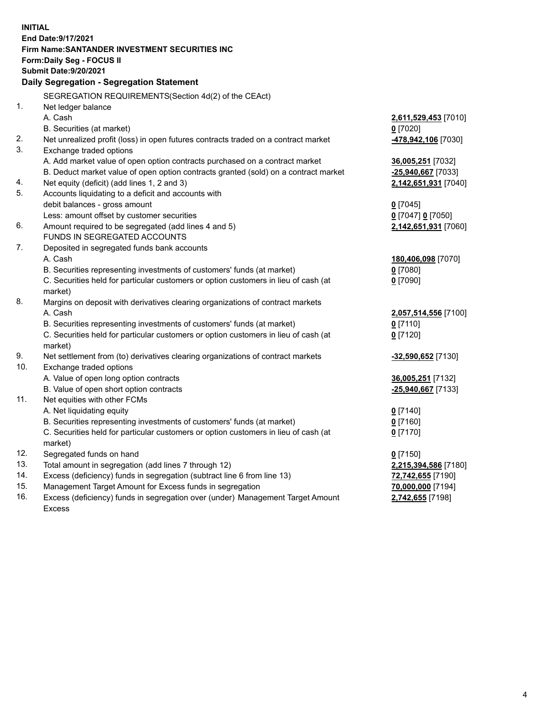| <b>INITIAL</b> |                                                                                      |                      |
|----------------|--------------------------------------------------------------------------------------|----------------------|
|                | End Date: 9/17/2021<br>Firm Name: SANTANDER INVESTMENT SECURITIES INC                |                      |
|                | <b>Form:Daily Seg - FOCUS II</b>                                                     |                      |
|                | <b>Submit Date: 9/20/2021</b>                                                        |                      |
|                | Daily Segregation - Segregation Statement                                            |                      |
|                |                                                                                      |                      |
|                | SEGREGATION REQUIREMENTS(Section 4d(2) of the CEAct)                                 |                      |
| 1.             | Net ledger balance                                                                   |                      |
|                | A. Cash                                                                              | 2,611,529,453 [7010] |
|                | B. Securities (at market)                                                            | $0$ [7020]           |
| 2.<br>3.       | Net unrealized profit (loss) in open futures contracts traded on a contract market   | 478,942,106 [7030]   |
|                | Exchange traded options                                                              |                      |
|                | A. Add market value of open option contracts purchased on a contract market          | 36,005,251 [7032]    |
|                | B. Deduct market value of open option contracts granted (sold) on a contract market  | -25,940,667 [7033]   |
| 4.<br>5.       | Net equity (deficit) (add lines 1, 2 and 3)                                          | 2,142,651,931 [7040] |
|                | Accounts liquidating to a deficit and accounts with<br>debit balances - gross amount | $0$ [7045]           |
|                | Less: amount offset by customer securities                                           | 0 [7047] 0 [7050]    |
| 6.             | Amount required to be segregated (add lines 4 and 5)                                 | 2,142,651,931 [7060] |
|                | FUNDS IN SEGREGATED ACCOUNTS                                                         |                      |
| 7.             | Deposited in segregated funds bank accounts                                          |                      |
|                | A. Cash                                                                              | 180,406,098 [7070]   |
|                | B. Securities representing investments of customers' funds (at market)               | $0$ [7080]           |
|                | C. Securities held for particular customers or option customers in lieu of cash (at  | $0$ [7090]           |
|                | market)                                                                              |                      |
| 8.             | Margins on deposit with derivatives clearing organizations of contract markets       |                      |
|                | A. Cash                                                                              | 2,057,514,556 [7100] |
|                | B. Securities representing investments of customers' funds (at market)               | $0$ [7110]           |
|                | C. Securities held for particular customers or option customers in lieu of cash (at  | $0$ [7120]           |
|                | market)                                                                              |                      |
| 9.             | Net settlement from (to) derivatives clearing organizations of contract markets      | -32,590,652 [7130]   |
| 10.            | Exchange traded options                                                              |                      |
|                | A. Value of open long option contracts                                               | 36,005,251 [7132]    |
|                | B. Value of open short option contracts                                              | -25,940,667 [7133]   |
| 11.            | Net equities with other FCMs                                                         |                      |
|                | A. Net liquidating equity                                                            | $0$ [7140]           |
|                | B. Securities representing investments of customers' funds (at market)               | $0$ [7160]           |
|                | C. Securities held for particular customers or option customers in lieu of cash (at  | $0$ [7170]           |
|                | market)                                                                              |                      |
| 12.            | Segregated funds on hand                                                             | $0$ [7150]           |
| 13.            | Total amount in segregation (add lines 7 through 12)                                 | 2,215,394,586 [7180] |
| 14.            | Excess (deficiency) funds in segregation (subtract line 6 from line 13)              | 72,742,655 [7190]    |
| 15.            | Management Target Amount for Excess funds in segregation                             | 70,000,000 [7194]    |
| 16.            | Excess (deficiency) funds in segregation over (under) Management Target Amount       | 2,742,655 [7198]     |
|                | <b>Excess</b>                                                                        |                      |